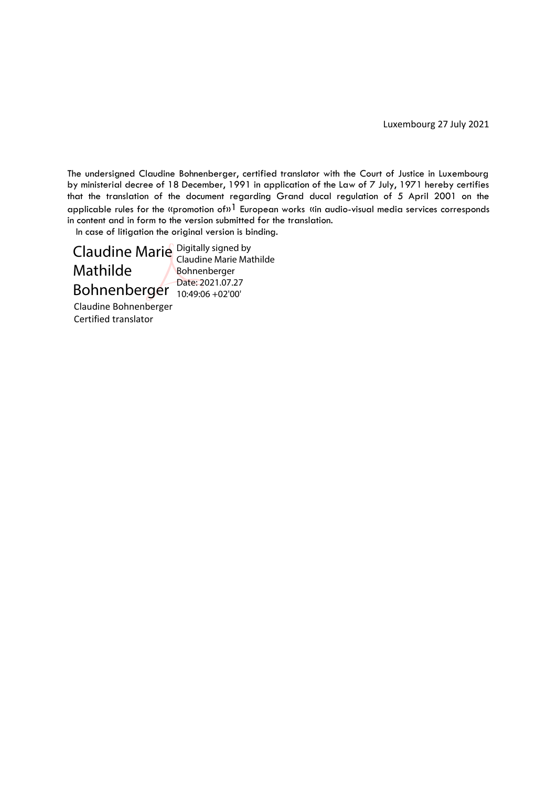Luxembourg 27 July 2021

The undersigned Claudine Bohnenberger, certified translator with the Court of Justice in Luxembourg by ministerial decree of 18 December, 1991 in application of the Law of 7 July, 1971 hereby certifies that the translation of the document regarding Grand ducal regulation of 5 April 2001 on the applicable rules for the «promotion of»<sup>1</sup> European works «in audio-visual media services corresponds in content and in form to the version submitted for the translation.

In case of litigation the original version is binding.

Claudine Marie Digitally signed by Mathilde Bohnenberger Date: 2021.07.27 Claudine Marie Mathilde Bohnenberger

10:49:06 +02'00'

Claudine Bohnenberger Certified translator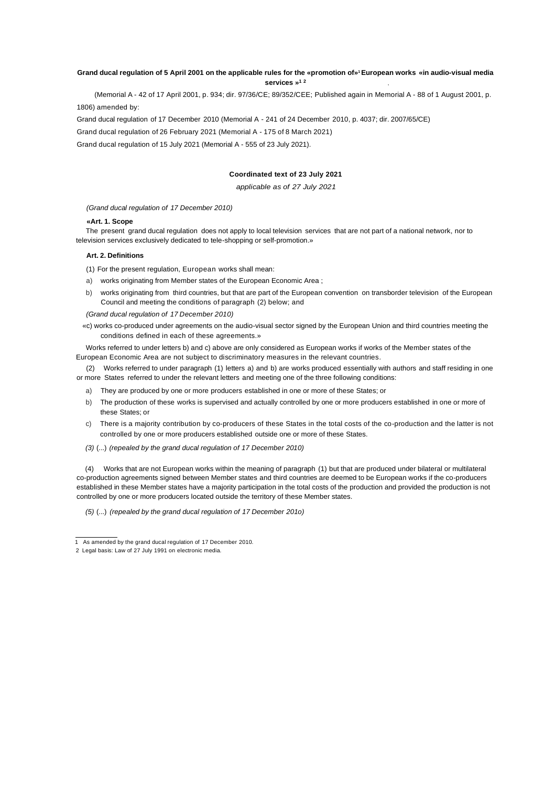#### **, Grand ducal regulation of 5 April 2001 on the applicable rules for the «promotion of» <sup>1</sup>European works «in audio-visual media services » 1 2**

(Memorial A - 42 of 17 April 2001, p. 934; dir. 97/36/CE; 89/352/CEE; Published again in Memorial A - 88 of 1 August 2001, p. 1806) amended by:

Grand ducal regulation of 17 December 2010 (Memorial A - 241 of 24 December 2010, p. 4037; dir. 2007/65/CE)

Grand ducal regulation of 26 February 2021 (Memorial A - 175 of 8 March 2021)

Grand ducal regulation of 15 July 2021 (Memorial A - 555 of 23 July 2021).

# **Coordinated text of 23 July 2021**

*applicable as of 27 July 2021*

*(Grand ducal regulation of 17 December 2010)*

# **«Art. 1. Scope**

The present grand ducal regulation does not apply to local television services that are not part of a national network, nor to television services exclusively dedicated to tele-shopping or self-promotion.»

### **Art. 2. Definitions**

(1) For the present regulation, European works shall mean:

- a) works originating from Member states of the European Economic Area ;
- b) works originating from third countries, but that are part of the European convention on transborder television of the European Council and meeting the conditions of paragraph (2) below; and

*(Grand ducal regulation of 17 December 2010)*

«c) works co-produced under agreements on the audio-visual sector signed by the European Union and third countries meeting the conditions defined in each of these agreements.»

Works referred to under letters b) and c) above are only considered as European works if works of the Member states of the European Economic Area are not subject to discriminatory measures in the relevant countries.

(2) Works referred to under paragraph (1) letters a) and b) are works produced essentially with authors and staff residing in one or more States referred to under the relevant letters and meeting one of the three following conditions:

- a) They are produced by one or more producers established in one or more of these States; or
- b) The production of these works is supervised and actually controlled by one or more producers established in one or more of these States; or
- c) There is a majority contribution by co-producers of these States in the total costs of the co-production and the latter is not controlled by one or more producers established outside one or more of these States.
- *(3)* (...) *(repealed by the grand ducal regulation of 17 December 2010)*

(4) Works that are not European works within the meaning of paragraph (1) but that are produced under bilateral or multilateral co-production agreements signed between Member states and third countries are deemed to be European works if the co-producers established in these Member states have a majority participation in the total costs of the production and provided the production is not controlled by one or more producers located outside the territory of these Member states.

*(5)* (...) *(repealed by the grand ducal regulation of 17 December 201o)*

 <sup>1</sup> As amended by the grand ducal regulation of 17 December 2010.

<sup>2</sup> Legal basis: Law of 27 July 1991 on electronic media.